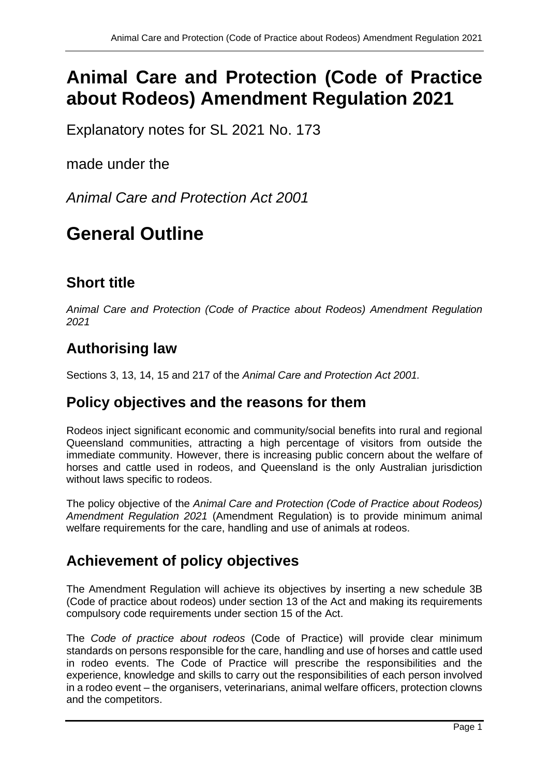# **Animal Care and Protection (Code of Practice about Rodeos) Amendment Regulation 2021**

Explanatory notes for SL 2021 No. 173

made under the

*Animal Care and Protection Act 2001*

# **General Outline**

# **Short title**

*Animal Care and Protection (Code of Practice about Rodeos) Amendment Regulation 2021*

## **Authorising law**

Sections 3, 13, 14, 15 and 217 of the *Animal Care and Protection Act 2001.*

## **Policy objectives and the reasons for them**

Rodeos inject significant economic and community/social benefits into rural and regional Queensland communities, attracting a high percentage of visitors from outside the immediate community. However, there is increasing public concern about the welfare of horses and cattle used in rodeos, and Queensland is the only Australian jurisdiction without laws specific to rodeos.

The policy objective of the *Animal Care and Protection (Code of Practice about Rodeos) Amendment Regulation 2021* (Amendment Regulation) is to provide minimum animal welfare requirements for the care, handling and use of animals at rodeos.

## **Achievement of policy objectives**

The Amendment Regulation will achieve its objectives by inserting a new schedule 3B (Code of practice about rodeos) under section 13 of the Act and making its requirements compulsory code requirements under section 15 of the Act.

The *Code of practice about rodeos* (Code of Practice) will provide clear minimum standards on persons responsible for the care, handling and use of horses and cattle used in rodeo events. The Code of Practice will prescribe the responsibilities and the experience, knowledge and skills to carry out the responsibilities of each person involved in a rodeo event – the organisers, veterinarians, animal welfare officers, protection clowns and the competitors.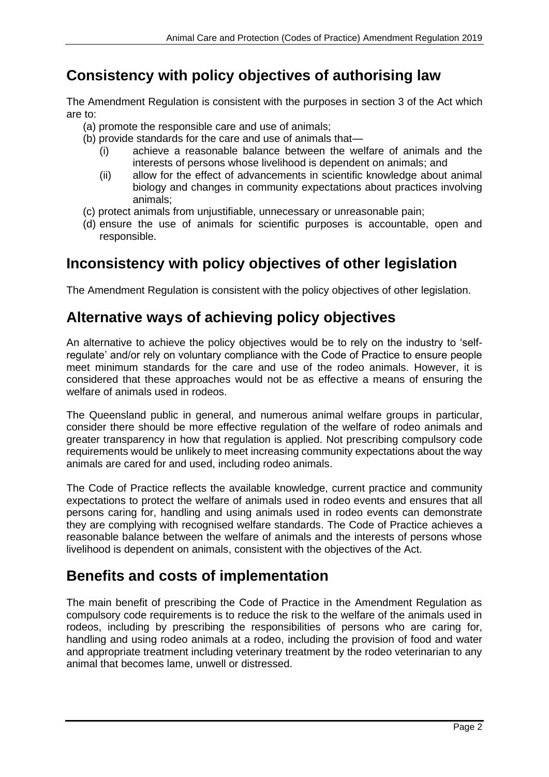### **Consistency with policy objectives of authorising law**

The Amendment Regulation is consistent with the purposes in section 3 of the Act which are to:

- (a) promote the responsible care and use of animals;
- (b) provide standards for the care and use of animals that—
	- (i) achieve a reasonable balance between the welfare of animals and the interests of persons whose livelihood is dependent on animals; and
	- (ii) allow for the effect of advancements in scientific knowledge about animal biology and changes in community expectations about practices involving animals;
- (c) protect animals from unjustifiable, unnecessary or unreasonable pain;
- (d) ensure the use of animals for scientific purposes is accountable, open and responsible.

#### **Inconsistency with policy objectives of other legislation**

The Amendment Regulation is consistent with the policy objectives of other legislation.

#### **Alternative ways of achieving policy objectives**

An alternative to achieve the policy objectives would be to rely on the industry to 'selfregulate' and/or rely on voluntary compliance with the Code of Practice to ensure people meet minimum standards for the care and use of the rodeo animals. However, it is considered that these approaches would not be as effective a means of ensuring the welfare of animals used in rodeos.

The Queensland public in general, and numerous animal welfare groups in particular, consider there should be more effective regulation of the welfare of rodeo animals and greater transparency in how that regulation is applied. Not prescribing compulsory code requirements would be unlikely to meet increasing community expectations about the way animals are cared for and used, including rodeo animals.

The Code of Practice reflects the available knowledge, current practice and community expectations to protect the welfare of animals used in rodeo events and ensures that all persons caring for, handling and using animals used in rodeo events can demonstrate they are complying with recognised welfare standards. The Code of Practice achieves a reasonable balance between the welfare of animals and the interests of persons whose livelihood is dependent on animals, consistent with the objectives of the Act.

#### **Benefits and costs of implementation**

The main benefit of prescribing the Code of Practice in the Amendment Regulation as compulsory code requirements is to reduce the risk to the welfare of the animals used in rodeos, including by prescribing the responsibilities of persons who are caring for, handling and using rodeo animals at a rodeo, including the provision of food and water and appropriate treatment including veterinary treatment by the rodeo veterinarian to any animal that becomes lame, unwell or distressed.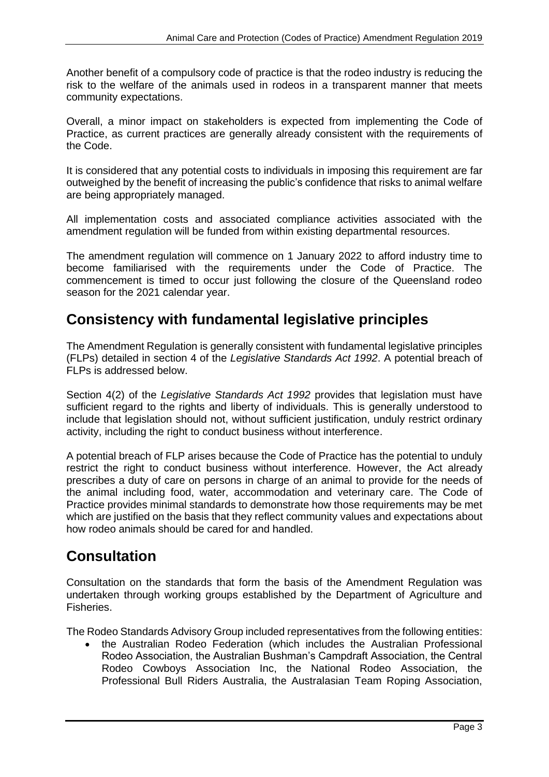Another benefit of a compulsory code of practice is that the rodeo industry is reducing the risk to the welfare of the animals used in rodeos in a transparent manner that meets community expectations.

Overall, a minor impact on stakeholders is expected from implementing the Code of Practice, as current practices are generally already consistent with the requirements of the Code.

It is considered that any potential costs to individuals in imposing this requirement are far outweighed by the benefit of increasing the public's confidence that risks to animal welfare are being appropriately managed.

All implementation costs and associated compliance activities associated with the amendment regulation will be funded from within existing departmental resources.

The amendment regulation will commence on 1 January 2022 to afford industry time to become familiarised with the requirements under the Code of Practice. The commencement is timed to occur just following the closure of the Queensland rodeo season for the 2021 calendar year.

## **Consistency with fundamental legislative principles**

The Amendment Regulation is generally consistent with fundamental legislative principles (FLPs) detailed in section 4 of the *Legislative Standards Act 1992*. A potential breach of FLPs is addressed below.

Section 4(2) of the *Legislative Standards Act 1992* provides that legislation must have sufficient regard to the rights and liberty of individuals. This is generally understood to include that legislation should not, without sufficient justification, unduly restrict ordinary activity, including the right to conduct business without interference.

A potential breach of FLP arises because the Code of Practice has the potential to unduly restrict the right to conduct business without interference. However, the Act already prescribes a duty of care on persons in charge of an animal to provide for the needs of the animal including food, water, accommodation and veterinary care. The Code of Practice provides minimal standards to demonstrate how those requirements may be met which are justified on the basis that they reflect community values and expectations about how rodeo animals should be cared for and handled.

## **Consultation**

Consultation on the standards that form the basis of the Amendment Regulation was undertaken through working groups established by the Department of Agriculture and Fisheries.

The Rodeo Standards Advisory Group included representatives from the following entities:

• the Australian Rodeo Federation (which includes the Australian Professional Rodeo Association, the Australian Bushman's Campdraft Association, the Central Rodeo Cowboys Association Inc, the National Rodeo Association, the Professional Bull Riders Australia, the Australasian Team Roping Association,